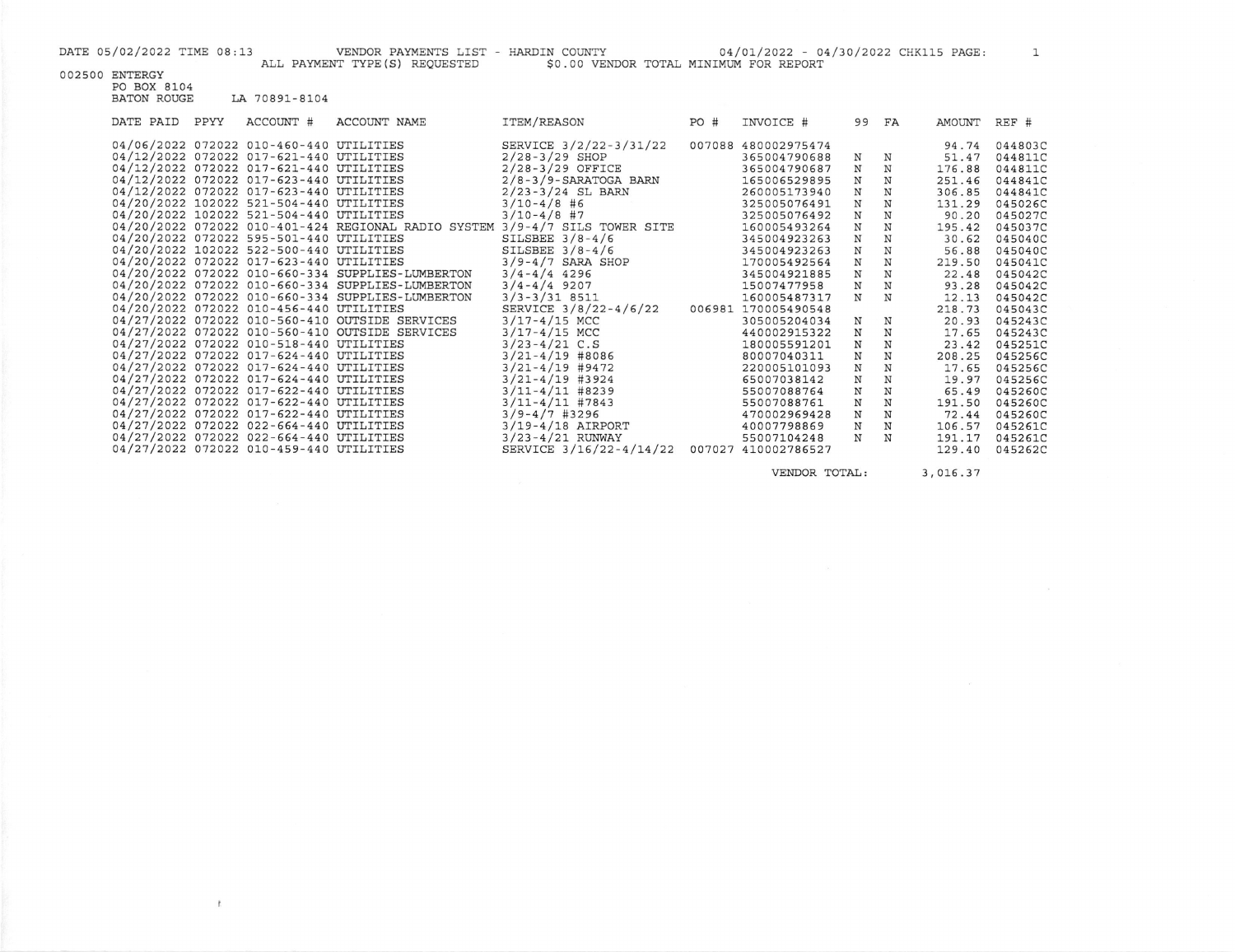$\pmb{f}_i$ 

DATE 05/02/2022 TIME 08:13 VENDOR PAYMENTS LIST - HARDIN COUNTY 04/01/2022 - 04/30/2022 CHK115 PAGE: 1<br>ALL PAYMENT TYPE(S) REQUESTED \$0.00 VENDOR TOTAL MINIMUM FOR REPORT

002500 ENTERGY PO BOX 8104

| LO DON UTOT<br><b>BATON ROUGE</b> |      | LA 70891-8104                           |                                                     |                            |      |                     |             |             |        |         |
|-----------------------------------|------|-----------------------------------------|-----------------------------------------------------|----------------------------|------|---------------------|-------------|-------------|--------|---------|
| DATE PAID                         | PPYY | ACCOUNT #                               | ACCOUNT NAME                                        | <b>ITEM/REASON</b>         | PO # | INVOICE #           |             | 99 FA       | AMOUNT | REF #   |
|                                   |      | 04/06/2022 072022 010-460-440 UTILITIES |                                                     | SERVICE 3/2/22-3/31/22     |      | 007088 480002975474 |             |             | 94.74  | 044803C |
|                                   |      | 04/12/2022 072022 017-621-440 UTILITIES |                                                     | $2/28 - 3/29$ SHOP         |      | 365004790688        | N           | $_{\rm N}$  | 51.47  | 044811C |
|                                   |      | 04/12/2022 072022 017-621-440 UTILITIES |                                                     | $2/28 - 3/29$ OFFICE       |      | 365004790687        | N           | N           | 176.88 | 044811C |
|                                   |      | 04/12/2022 072022 017-623-440 UTILITIES |                                                     | $2/8 - 3/9$ -SARATOGA BARN |      | 165006529895        | N           | N           | 251.46 | 044841C |
|                                   |      | 04/12/2022 072022 017-623-440 UTILITIES |                                                     | $2/23 - 3/24$ SL BARN      |      | 260005173940        | N           | N           | 306.85 | 044841C |
|                                   |      | 04/20/2022 102022 521-504-440 UTILITIES |                                                     | $3/10-4/8$ #6              |      | 325005076491        | N           | $\mathbf N$ | 131.29 | 045026C |
|                                   |      | 04/20/2022 102022 521-504-440 UTILITIES |                                                     | $3/10-4/8$ #7              |      | 325005076492        | $\mathbf N$ | N           | 90.20  | 045027C |
|                                   |      |                                         | 04/20/2022 072022 010-401-424 REGIONAL RADIO SYSTEM | 3/9-4/7 SILS TOWER SITE    |      | 160005493264        | N           | N           | 195.42 | 045037C |
|                                   |      | 04/20/2022 072022 595-501-440 UTILITIES |                                                     | SILSBEE $3/8 - 4/6$        |      | 345004923263        | $\mathbf N$ | N           | 30.62  | 045040C |
|                                   |      | 04/20/2022 102022 522-500-440 UTILITIES |                                                     | SILSBEE $3/8-4/6$          |      | 345004923263        | N           | N           | 56.88  | 045040C |
|                                   |      | 04/20/2022 072022 017-623-440 UTILITIES |                                                     | $3/9 - 4/7$ SARA SHOP      |      | 170005492564        | N           | N           | 219.50 | 045041C |
|                                   |      |                                         | 04/20/2022 072022 010-660-334 SUPPLIES-LUMBERTON    | $3/4 - 4/4$ 4296           |      | 345004921885        | N           | N           | 22.48  | 045042C |
|                                   |      |                                         | 04/20/2022 072022 010-660-334 SUPPLIES-LUMBERTON    | $3/4 - 4/4$ 9207           |      | 15007477958         | N           | N           | 93.28  | 045042C |
|                                   |      |                                         | 04/20/2022 072022 010-660-334 SUPPLIES-LUMBERTON    | $3/3 - 3/31$ 8511          |      | 160005487317        | N           | N           | 12.13  | 045042C |
|                                   |      | 04/20/2022 072022 010-456-440 UTILITIES |                                                     | SERVICE 3/8/22-4/6/22      |      | 006981 170005490548 |             |             | 218.73 | 045043C |
|                                   |      |                                         | 04/27/2022 072022 010-560-410 OUTSIDE SERVICES      | $3/17 - 4/15$ MCC          |      | 305005204034        | N           | N           | 20.93  | 045243C |
|                                   |      |                                         | 04/27/2022 072022 010-560-410 OUTSIDE SERVICES      | $3/17 - 4/15$ MCC          |      | 440002915322        | $\rm N$     | $_{\rm N}$  | 17.65  | 045243C |
|                                   |      | 04/27/2022 072022 010-518-440 UTILITIES |                                                     | $3/23 - 4/21$ C.S          |      | 180005591201        | $\mathbf N$ | N           | 23.42  | 045251C |
|                                   |      | 04/27/2022 072022 017-624-440 UTILITIES |                                                     | $3/21 - 4/19$ #8086        |      | 80007040311         | $\rm N$     | $\mathbf N$ | 208.25 | 045256C |
|                                   |      | 04/27/2022 072022 017-624-440 UTILITIES |                                                     | $3/21 - 4/19$ #9472        |      | 220005101093        | N           | $_{\rm N}$  | 17.65  | 045256C |
|                                   |      | 04/27/2022 072022 017-624-440 UTILITIES |                                                     | $3/21 - 4/19$ #3924        |      | 65007038142         | N           | N           | 19.97  | 045256C |
|                                   |      | 04/27/2022 072022 017-622-440 UTILITIES |                                                     | $3/11 - 4/11$ #8239        |      | 55007088764         | N           | N           | 65.49  | 045260C |
|                                   |      | 04/27/2022 072022 017-622-440 UTILITIES |                                                     | $3/11 - 4/11$ #7843        |      | 55007088761         | $\mathbf N$ | N           | 191.50 | 045260C |
|                                   |      | 04/27/2022 072022 017-622-440 UTILITIES |                                                     | $3/9 - 4/7$ #3296          |      | 470002969428        | N           | N           | 72.44  | 045260C |
|                                   |      | 04/27/2022 072022 022-664-440 UTILITIES |                                                     | $3/19 - 4/18$ AIRPORT      |      | 40007798869         | N           | N           | 106.57 | 045261C |
|                                   |      | 04/27/2022 072022 022-664-440 UTILITIES |                                                     | $3/23 - 4/21$ RUNWAY       |      | 55007104248         | N           | N           | 191.17 | 045261C |
|                                   |      | 04/27/2022 072022 010-459-440 UTILITIES |                                                     | SERVICE 3/16/22-4/14/22    |      | 007027 410002786527 |             |             | 129.40 | 045262C |

VENDOR TOTAL: 3,016.37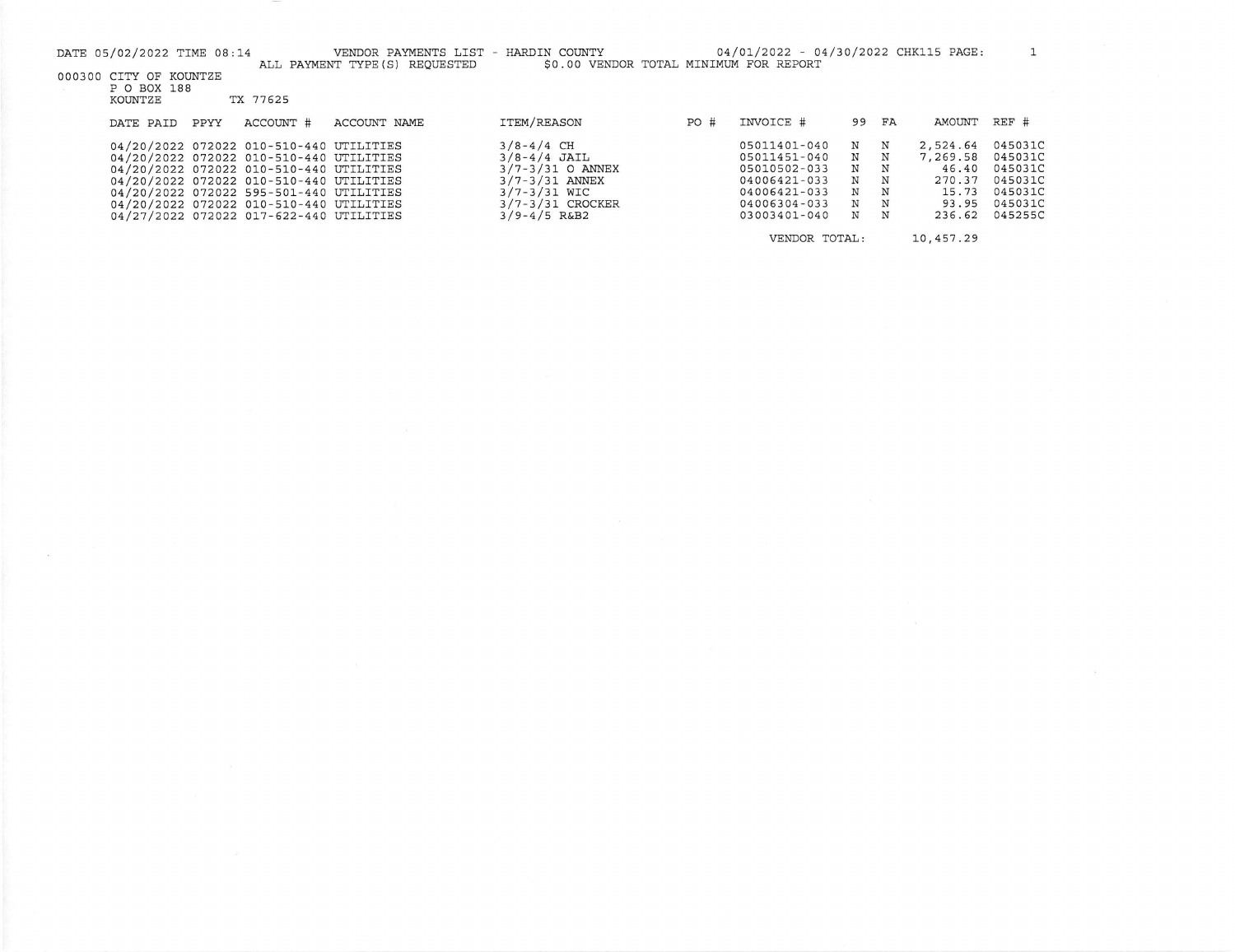|                                                                                                                                          | DATE 05/02/2022 TIME 08:14 |      |                                                                                                                                                                                                                                                                                                           | VENDOR PAYMENTS LIST - HARDIN COUNTY |                                                                                                                                              |      | 04/01/2022 - 04/30/2022 CHK115 PAGE:                                                                         |                                 |                                 |                                                                     |                                                                           |
|------------------------------------------------------------------------------------------------------------------------------------------|----------------------------|------|-----------------------------------------------------------------------------------------------------------------------------------------------------------------------------------------------------------------------------------------------------------------------------------------------------------|--------------------------------------|----------------------------------------------------------------------------------------------------------------------------------------------|------|--------------------------------------------------------------------------------------------------------------|---------------------------------|---------------------------------|---------------------------------------------------------------------|---------------------------------------------------------------------------|
| \$0.00 VENDOR TOTAL MINIMUM FOR REPORT<br>ALL PAYMENT TYPE (S) REQUESTED<br>000300 CITY OF KOUNTZE<br>P O BOX 188<br>TX 77625<br>KOUNTZE |                            |      |                                                                                                                                                                                                                                                                                                           |                                      |                                                                                                                                              |      |                                                                                                              |                                 |                                 |                                                                     |                                                                           |
|                                                                                                                                          | DATE PAID                  | PPYY | ACCOUNT #                                                                                                                                                                                                                                                                                                 | ACCOUNT NAME                         | <b>ITEM/REASON</b>                                                                                                                           | PO # | INVOICE #                                                                                                    | 99                              | FA                              | AMOUNT                                                              | REF #                                                                     |
|                                                                                                                                          |                            |      | 04/20/2022 072022 010-510-440 UTILITIES<br>04/20/2022 072022 010-510-440 UTILITIES<br>04/20/2022 072022 010-510-440 UTILITIES<br>04/20/2022 072022 010-510-440 UTILITIES<br>04/20/2022 072022 595-501-440 UTILITIES<br>04/20/2022 072022 010-510-440 UTILITIES<br>04/27/2022 072022 017-622-440 UTILITIES |                                      | $3/8 - 4/4$ CH<br>$3/8 - 4/4$ JAIL<br>$3/7 - 3/31$ O ANNEX<br>$3/7 - 3/31$ ANNEX<br>$3/7 - 3/31$ WIC<br>3/7-3/31 CROCKER<br>$3/9 - 4/5$ R&B2 |      | 05011401-040<br>05011451-040<br>05010502-033<br>04006421-033<br>04006421-033<br>04006304-033<br>03003401-040 | N<br>N<br>N<br>N<br>N<br>N<br>N | Ν<br>N<br>N<br>N<br>N<br>N<br>N | 2,524.64<br>7,269.58<br>46.40<br>270.37<br>15.73<br>93.95<br>236.62 | 045031C<br>045031C<br>045031C<br>045031C<br>045031C<br>045031C<br>045255C |
|                                                                                                                                          |                            |      |                                                                                                                                                                                                                                                                                                           |                                      |                                                                                                                                              |      | VENDOR TOTAL:                                                                                                |                                 |                                 | 10.457.29                                                           |                                                                           |

 $\mathcal{L}$